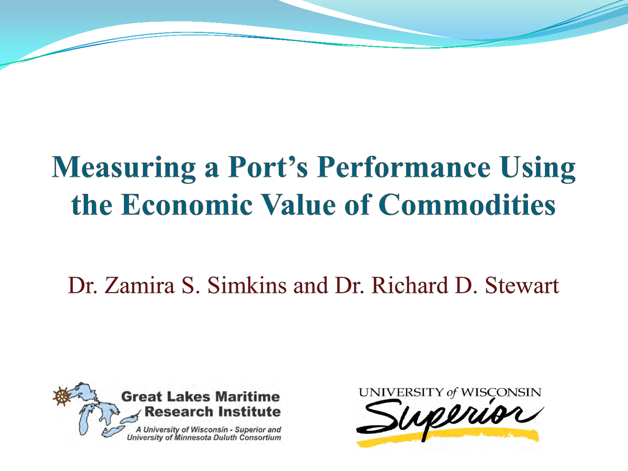# **Measuring a Port's Performance Using** the Economic Value of Commodities

Dr. Zamira S. Simkins and Dr. Richard D. Stewart



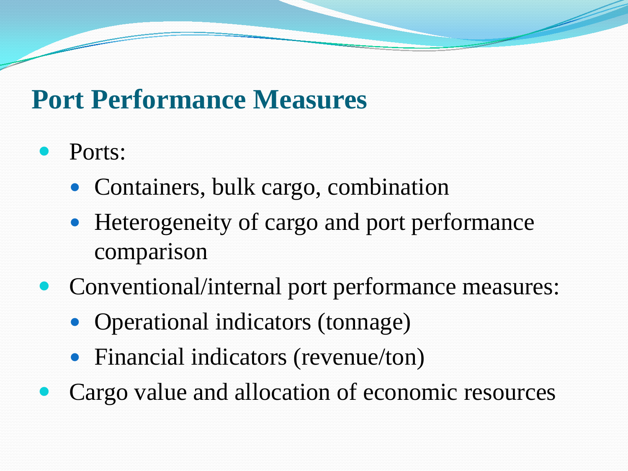### **Port Performance Measures**

- Ports:
	- Containers, bulk cargo, combination
	- Heterogeneity of cargo and port performance comparison
- Conventional/internal port performance measures:
	- Operational indicators (tonnage)
	- Financial indicators (revenue/ton)
- Cargo value and allocation of economic resources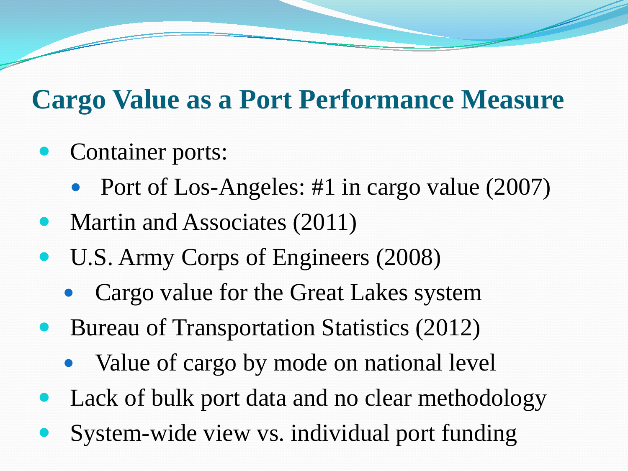# **Cargo Value as a Port Performance Measure**

- Container ports:
	- Port of Los-Angeles: #1 in cargo value (2007)
- Martin and Associates (2011)
- U.S. Army Corps of Engineers (2008)
	- Cargo value for the Great Lakes system
- Bureau of Transportation Statistics (2012)
	- Value of cargo by mode on national level
- Lack of bulk port data and no clear methodology
- System-wide view vs. individual port funding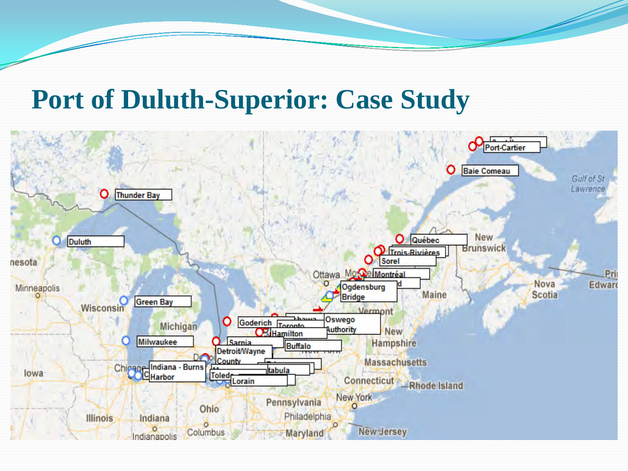#### **Port of Duluth-Superior: Case Study**

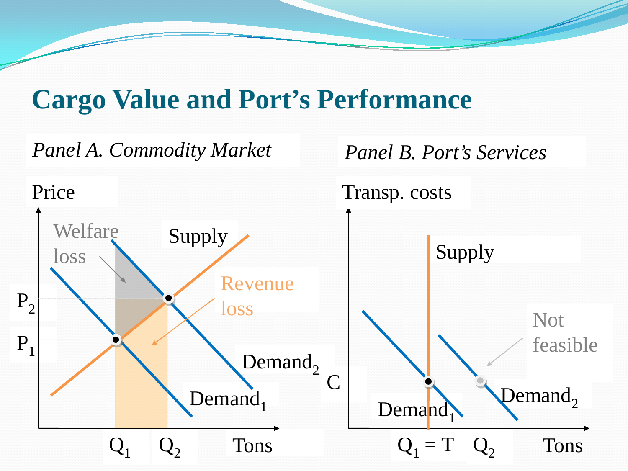### **Cargo Value and Port's Performance**

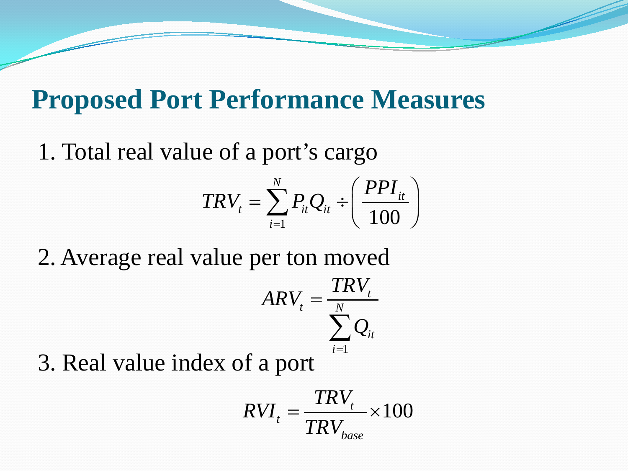#### **Proposed Port Performance Measures**

1. Total real value of a port's cargo

$$
TRV_t = \sum_{i=1}^{N} P_{it} Q_{it} \div \left(\frac{PPI_{it}}{100}\right)
$$

2. Average real value per ton moved *t t N*  $ARV_{t} = \frac{TRV_{t}}{N}$ =

$$
RV_{t} = \frac{1}{\sum_{i=1}^{N} Q_{it}}
$$

3. Real value index of a port

$$
RVI_t = \frac{TRV_t}{TRV_{base}} \times 100
$$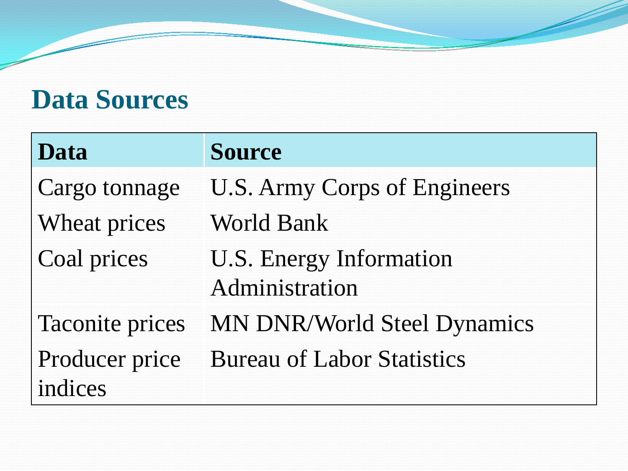# **Data Sources**

| Data                      | <b>Source</b>                                    |
|---------------------------|--------------------------------------------------|
| Cargo tonnage             | <b>U.S. Army Corps of Engineers</b>              |
| Wheat prices              | <b>World Bank</b>                                |
| Coal prices               | <b>U.S. Energy Information</b><br>Administration |
| <b>Taconite prices</b>    | <b>MN DNR/World Steel Dynamics</b>               |
| Producer price<br>indices | <b>Bureau of Labor Statistics</b>                |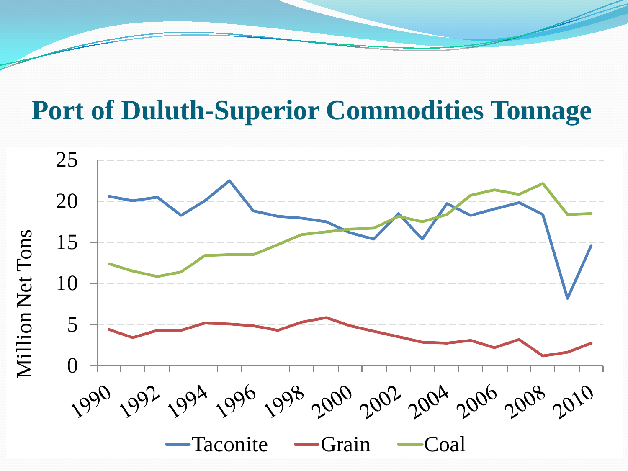### **Port of Duluth-Superior Commodities Tonnage**

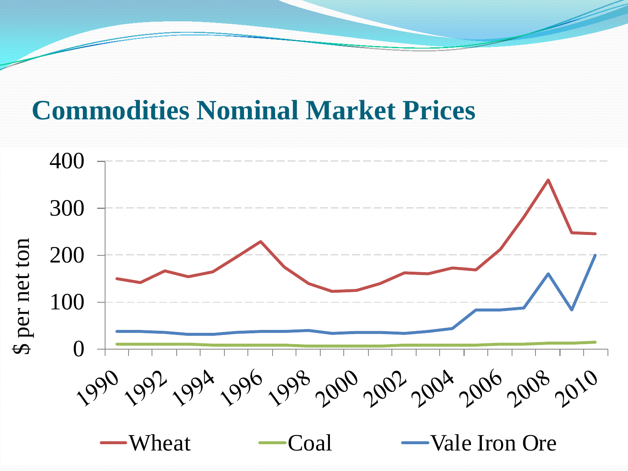#### **Commodities Nominal Market Prices**

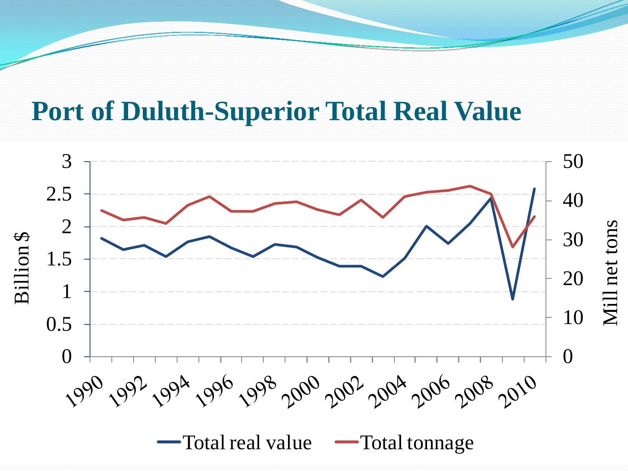#### **Port of Duluth-Superior Total Real Value**

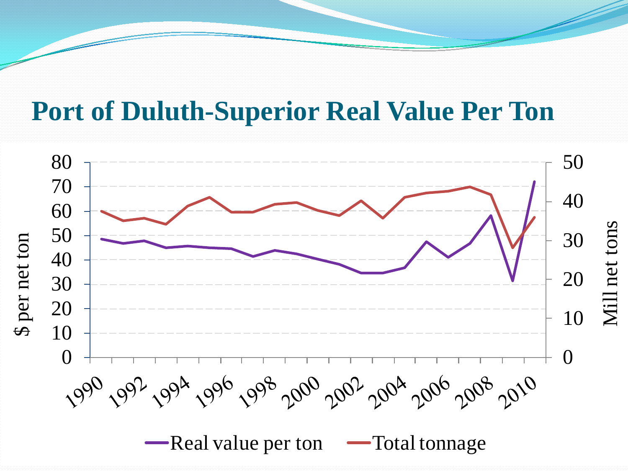#### **Port of Duluth-Superior Real Value Per Ton**

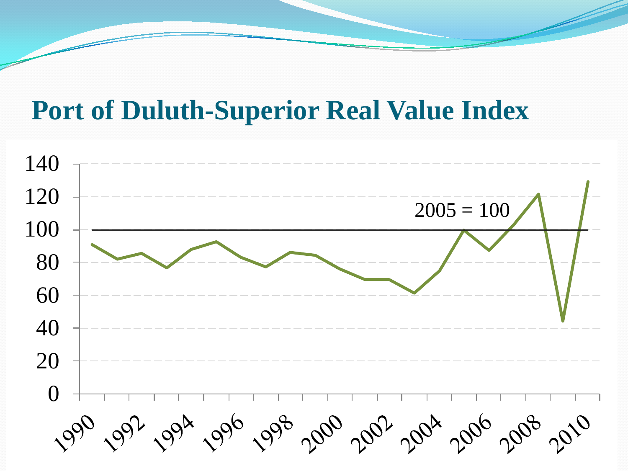#### **Port of Duluth-Superior Real Value Index**

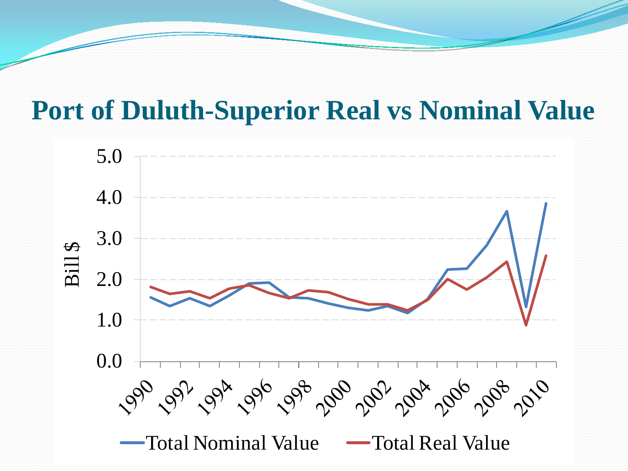#### **Port of Duluth-Superior Real vs Nominal Value**

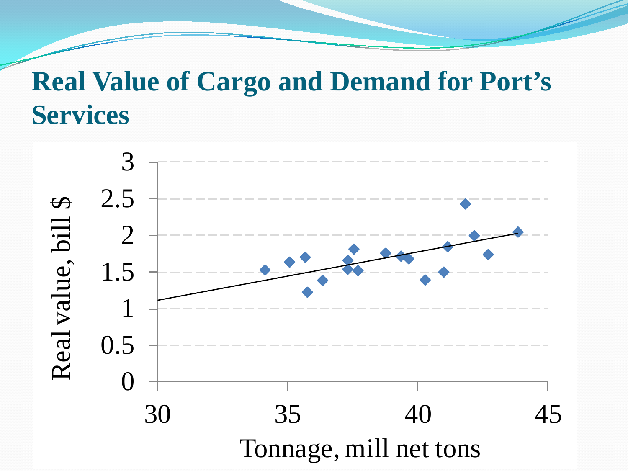# **Real Value of Cargo and Demand for Port's Services**